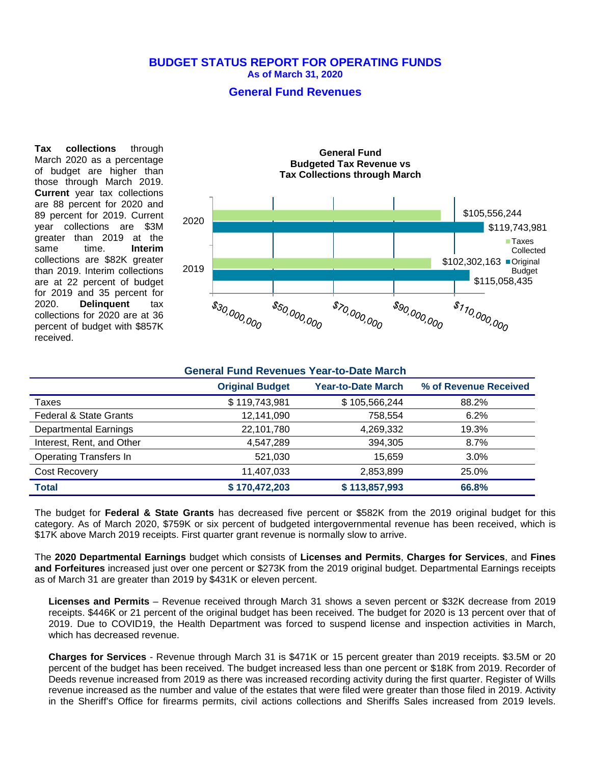### **BUDGET STATUS REPORT FOR OPERATING FUNDS As of March 31, 2020**

## **General Fund Revenues**

**Tax collections** through March 2020 as a percentage of budget are higher than those through March 2019. **Current** year tax collections are 88 percent for 2020 and 89 percent for 2019. Current year collections are \$3M greater than 2019 at the<br>same time. **Interim** same time. **Interim** collections are \$82K greater than 2019. Interim collections are at 22 percent of budget for 2019 and 35 percent for 2020. **Delinquent** tax collections for 2020 are at 36 percent of budget with \$857K received.



## **General Fund Revenues Year-to-Date March**

|                                   | <b>Original Budget</b> | <b>Year-to-Date March</b> | % of Revenue Received |
|-----------------------------------|------------------------|---------------------------|-----------------------|
| Taxes                             | \$119,743,981          | \$105,566,244             | 88.2%                 |
| <b>Federal &amp; State Grants</b> | 12,141,090             | 758,554                   | 6.2%                  |
| <b>Departmental Earnings</b>      | 22,101,780             | 4,269,332                 | 19.3%                 |
| Interest, Rent, and Other         | 4,547,289              | 394,305                   | 8.7%                  |
| <b>Operating Transfers In</b>     | 521,030                | 15.659                    | 3.0%                  |
| Cost Recovery                     | 11.407.033             | 2,853,899                 | 25.0%                 |
| <b>Total</b>                      | \$170,472,203          | \$113,857,993             | 66.8%                 |

The budget for **Federal & State Grants** has decreased five percent or \$582K from the 2019 original budget for this category. As of March 2020, \$759K or six percent of budgeted intergovernmental revenue has been received, which is \$17K above March 2019 receipts. First quarter grant revenue is normally slow to arrive.

The **2020 Departmental Earnings** budget which consists of **Licenses and Permits**, **Charges for Services**, and **Fines and Forfeitures** increased just over one percent or \$273K from the 2019 original budget. Departmental Earnings receipts as of March 31 are greater than 2019 by \$431K or eleven percent.

**Licenses and Permits** – Revenue received through March 31 shows a seven percent or \$32K decrease from 2019 receipts. \$446K or 21 percent of the original budget has been received. The budget for 2020 is 13 percent over that of 2019. Due to COVID19, the Health Department was forced to suspend license and inspection activities in March, which has decreased revenue.

**Charges for Services** - Revenue through March 31 is \$471K or 15 percent greater than 2019 receipts. \$3.5M or 20 percent of the budget has been received. The budget increased less than one percent or \$18K from 2019. Recorder of Deeds revenue increased from 2019 as there was increased recording activity during the first quarter. Register of Wills revenue increased as the number and value of the estates that were filed were greater than those filed in 2019. Activity in the Sheriff's Office for firearms permits, civil actions collections and Sheriffs Sales increased from 2019 levels.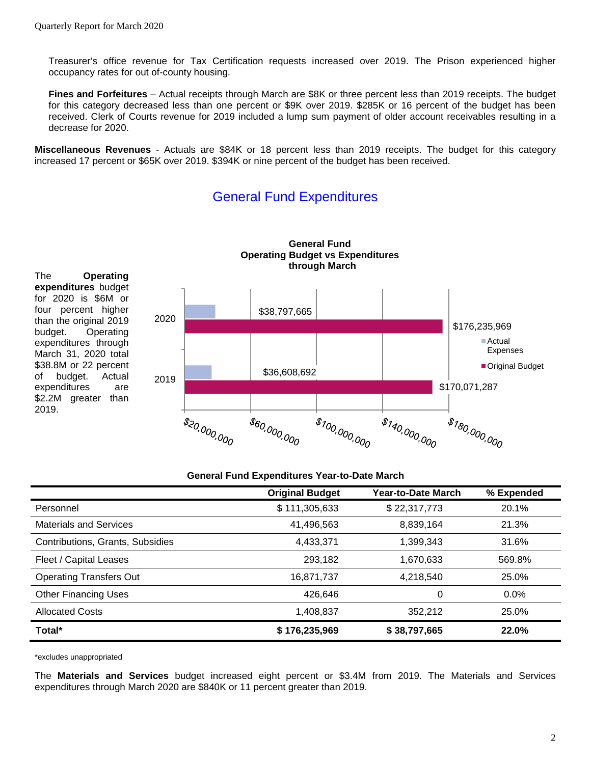Treasurer's office revenue for Tax Certification requests increased over 2019. The Prison experienced higher occupancy rates for out of-county housing.

**Fines and Forfeitures** – Actual receipts through March are \$8K or three percent less than 2019 receipts. The budget for this category decreased less than one percent or \$9K over 2019. \$285K or 16 percent of the budget has been received. Clerk of Courts revenue for 2019 included a lump sum payment of older account receivables resulting in a decrease for 2020.

**Miscellaneous Revenues** - Actuals are \$84K or 18 percent less than 2019 receipts. The budget for this category increased 17 percent or \$65K over 2019. \$394K or nine percent of the budget has been received.

#### **General Fund Operating Budget vs Expenditures through March** The **Operating expenditures** budget for 2020 is \$6M or four percent higher \$38,797,665 2020 than the original 2019 \$176,235,969 budget. Operating ■ Actual expenditures through Expenses March 31, 2020 total \$38.8M or 22 percent ■ Original Budget \$36,608,692 of budget. Actual 2019 \$170,071,287 expenditures are \$2.2M greater than \$20,000,000  $s_{100,000,000}$  $s_{140,000,000}$ **\$180,000,000 \$60,000,000**

# General Fund Expenditures

## **General Fund Expenditures Year-to-Date March**

|                                  | <b>Original Budget</b> | Year-to-Date March | % Expended |
|----------------------------------|------------------------|--------------------|------------|
| Personnel                        | \$111,305,633          | \$22,317,773       | 20.1%      |
| <b>Materials and Services</b>    | 41,496,563             | 8,839,164          | 21.3%      |
| Contributions, Grants, Subsidies | 4,433,371              | 1,399,343          | 31.6%      |
| Fleet / Capital Leases           | 293,182                | 1,670,633          | 569.8%     |
| <b>Operating Transfers Out</b>   | 16,871,737             | 4,218,540          | 25.0%      |
| <b>Other Financing Uses</b>      | 426,646                | 0                  | 0.0%       |
| <b>Allocated Costs</b>           | 1,408,837              | 352,212            | 25.0%      |
| Total*                           | \$176,235,969          | \$38,797,665       | 22.0%      |

\*excludes unappropriated

2019.

The **Materials and Services** budget increased eight percent or \$3.4M from 2019. The Materials and Services expenditures through March 2020 are \$840K or 11 percent greater than 2019.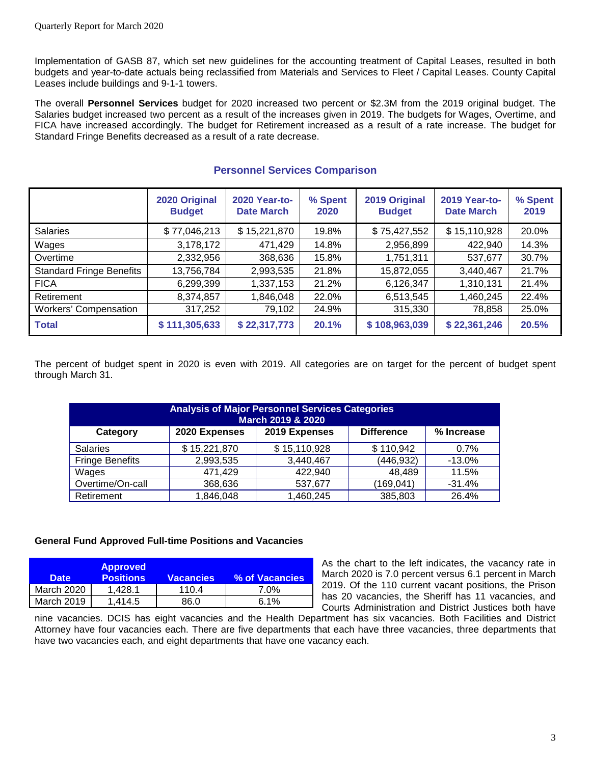Implementation of GASB 87, which set new guidelines for the accounting treatment of Capital Leases, resulted in both budgets and year-to-date actuals being reclassified from Materials and Services to Fleet / Capital Leases. County Capital Leases include buildings and 9-1-1 towers.

The overall **Personnel Services** budget for 2020 increased two percent or \$2.3M from the 2019 original budget. The Salaries budget increased two percent as a result of the increases given in 2019. The budgets for Wages, Overtime, and FICA have increased accordingly. The budget for Retirement increased as a result of a rate increase. The budget for Standard Fringe Benefits decreased as a result of a rate decrease.

|                                 | 2020 Original<br><b>Budget</b> | 2020 Year-to-<br><b>Date March</b> | % Spent<br>2020 | 2019 Original<br><b>Budget</b> | 2019 Year-to-<br><b>Date March</b> | % Spent<br>2019 |
|---------------------------------|--------------------------------|------------------------------------|-----------------|--------------------------------|------------------------------------|-----------------|
| <b>Salaries</b>                 | \$77,046,213                   | \$15,221,870                       | 19.8%           | \$75,427,552                   | \$15,110,928                       | 20.0%           |
| Wages                           | 3,178,172                      | 471,429                            | 14.8%           | 2,956,899                      | 422,940                            | 14.3%           |
| Overtime                        | 2,332,956                      | 368,636                            | 15.8%           | 1,751,311                      | 537,677                            | 30.7%           |
| <b>Standard Fringe Benefits</b> | 13,756,784                     | 2,993,535                          | 21.8%           | 15,872,055                     | 3,440,467                          | 21.7%           |
| <b>FICA</b>                     | 6,299,399                      | 1,337,153                          | 21.2%           | 6,126,347                      | 1,310,131                          | 21.4%           |
| Retirement                      | 8,374,857                      | 1,846,048                          | 22.0%           | 6,513,545                      | 1,460,245                          | 22.4%           |
| <b>Workers' Compensation</b>    | 317,252                        | 79,102                             | 24.9%           | 315,330                        | 78,858                             | 25.0%           |
| <b>Total</b>                    | \$111,305,633                  | \$22,317,773                       | 20.1%           | \$108,963,039                  | \$22,361,246                       | 20.5%           |

## **Personnel Services Comparison**

The percent of budget spent in 2020 is even with 2019. All categories are on target for the percent of budget spent through March 31.

| <b>Analysis of Major Personnel Services Categories</b><br>March 2019 & 2020 |               |               |                   |            |  |
|-----------------------------------------------------------------------------|---------------|---------------|-------------------|------------|--|
| Category                                                                    | 2020 Expenses | 2019 Expenses | <b>Difference</b> | % Increase |  |
| <b>Salaries</b>                                                             | \$15,221,870  | \$15,110,928  | \$110,942         | 0.7%       |  |
| <b>Fringe Benefits</b>                                                      | 2,993,535     | 3,440,467     | (446,932)         | $-13.0\%$  |  |
| Wages                                                                       | 471,429       | 422,940       | 48,489            | 11.5%      |  |
| Overtime/On-call                                                            | 368,636       | 537,677       | (169, 041)        | $-31.4%$   |  |
| Retirement                                                                  | 1,846,048     | 1,460,245     | 385,803           | 26.4%      |  |

## **General Fund Approved Full-time Positions and Vacancies**

| <b>Date</b> | <b>Approved</b><br><b>Positions</b> | <b>Vacancies</b> | % of Vacancies |
|-------------|-------------------------------------|------------------|----------------|
| March 2020  | 1.428.1                             | 110.4            | 7.0%           |
| March 2019  | 1.414.5                             | 86.0             | 6.1%           |

As the chart to the left indicates, the vacancy rate in March 2020 is 7.0 percent versus 6.1 percent in March 2019. Of the 110 current vacant positions, the Prison has 20 vacancies, the Sheriff has 11 vacancies, and Courts Administration and District Justices both have

nine vacancies. DCIS has eight vacancies and the Health Department has six vacancies. Both Facilities and District Attorney have four vacancies each. There are five departments that each have three vacancies, three departments that have two vacancies each, and eight departments that have one vacancy each.